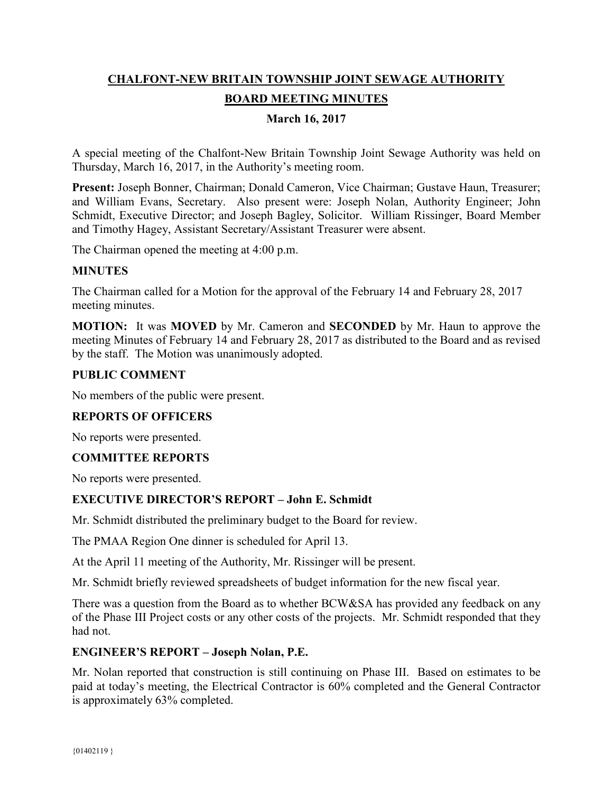# **CHALFONT-NEW BRITAIN TOWNSHIP JOINT SEWAGE AUTHORITY BOARD MEETING MINUTES**

# **March 16, 2017**

A special meeting of the Chalfont-New Britain Township Joint Sewage Authority was held on Thursday, March 16, 2017, in the Authority's meeting room.

**Present:** Joseph Bonner, Chairman; Donald Cameron, Vice Chairman; Gustave Haun, Treasurer; and William Evans, Secretary. Also present were: Joseph Nolan, Authority Engineer; John Schmidt, Executive Director; and Joseph Bagley, Solicitor. William Rissinger, Board Member and Timothy Hagey, Assistant Secretary/Assistant Treasurer were absent.

The Chairman opened the meeting at 4:00 p.m.

### **MINUTES**

The Chairman called for a Motion for the approval of the February 14 and February 28, 2017 meeting minutes.

**MOTION:** It was **MOVED** by Mr. Cameron and **SECONDED** by Mr. Haun to approve the meeting Minutes of February 14 and February 28, 2017 as distributed to the Board and as revised by the staff. The Motion was unanimously adopted.

### **PUBLIC COMMENT**

No members of the public were present.

### **REPORTS OF OFFICERS**

No reports were presented.

### **COMMITTEE REPORTS**

No reports were presented.

### **EXECUTIVE DIRECTOR'S REPORT – John E. Schmidt**

Mr. Schmidt distributed the preliminary budget to the Board for review.

The PMAA Region One dinner is scheduled for April 13.

At the April 11 meeting of the Authority, Mr. Rissinger will be present.

Mr. Schmidt briefly reviewed spreadsheets of budget information for the new fiscal year.

There was a question from the Board as to whether BCW&SA has provided any feedback on any of the Phase III Project costs or any other costs of the projects. Mr. Schmidt responded that they had not.

### **ENGINEER'S REPORT – Joseph Nolan, P.E.**

Mr. Nolan reported that construction is still continuing on Phase III. Based on estimates to be paid at today's meeting, the Electrical Contractor is 60% completed and the General Contractor is approximately 63% completed.